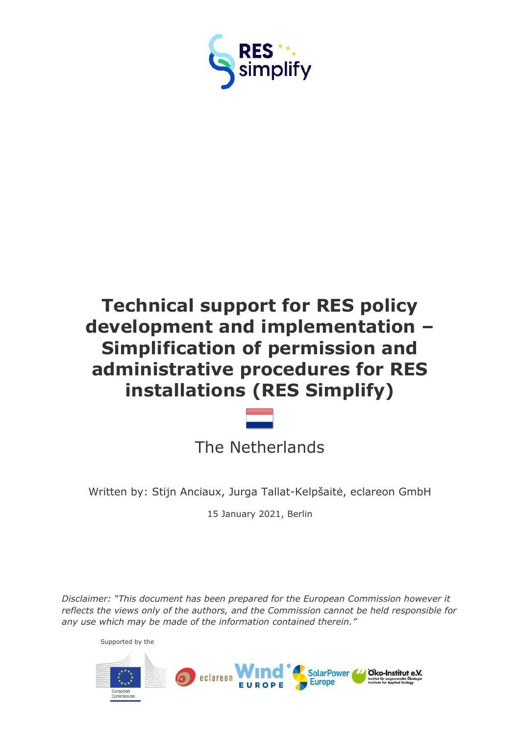

# **Technical support for RES policy development and implementation – Simplification of permission and administrative procedures for RES installations (RES Simplify)**

The Netherlands

Written by: Stijn Anciaux, Jurga Tallat-Kelpšaitė, eclareon GmbH

15 January 2021, Berlin

*Disclaimer: "This document has been prepared for the European Commission however it reflects the views only of the authors, and the Commission cannot be held responsible for any use which may be made of the information contained therein."*

Supported by the

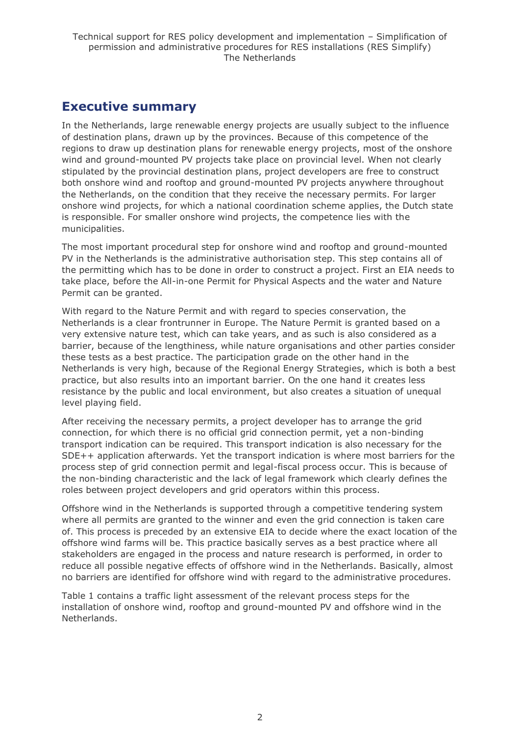### <span id="page-1-0"></span>**Executive summary**

In the Netherlands, large renewable energy projects are usually subject to the influence of destination plans, drawn up by the provinces. Because of this competence of the regions to draw up destination plans for renewable energy projects, most of the onshore wind and ground-mounted PV projects take place on provincial level. When not clearly stipulated by the provincial destination plans, project developers are free to construct both onshore wind and rooftop and ground-mounted PV projects anywhere throughout the Netherlands, on the condition that they receive the necessary permits. For larger onshore wind projects, for which a national coordination scheme applies, the Dutch state is responsible. For smaller onshore wind projects, the competence lies with the municipalities.

The most important procedural step for onshore wind and rooftop and ground-mounted PV in the Netherlands is the administrative authorisation step. This step contains all of the permitting which has to be done in order to construct a project. First an EIA needs to take place, before the All-in-one Permit for Physical Aspects and the water and Nature Permit can be granted.

With regard to the Nature Permit and with regard to species conservation, the Netherlands is a clear frontrunner in Europe. The Nature Permit is granted based on a very extensive nature test, which can take years, and as such is also considered as a barrier, because of the lengthiness, while nature organisations and other parties consider these tests as a best practice. The participation grade on the other hand in the Netherlands is very high, because of the Regional Energy Strategies, which is both a best practice, but also results into an important barrier. On the one hand it creates less resistance by the public and local environment, but also creates a situation of unequal level playing field.

After receiving the necessary permits, a project developer has to arrange the grid connection, for which there is no official grid connection permit, yet a non-binding transport indication can be required. This transport indication is also necessary for the SDE++ application afterwards. Yet the transport indication is where most barriers for the process step of grid connection permit and legal-fiscal process occur. This is because of the non-binding characteristic and the lack of legal framework which clearly defines the roles between project developers and grid operators within this process.

Offshore wind in the Netherlands is supported through a competitive tendering system where all permits are granted to the winner and even the grid connection is taken care of. This process is preceded by an extensive EIA to decide where the exact location of the offshore wind farms will be. This practice basically serves as a best practice where all stakeholders are engaged in the process and nature research is performed, in order to reduce all possible negative effects of offshore wind in the Netherlands. Basically, almost no barriers are identified for offshore wind with regard to the administrative procedures.

Table 1 contains a traffic light assessment of the relevant process steps for the installation of onshore wind, rooftop and ground-mounted PV and offshore wind in the Netherlands.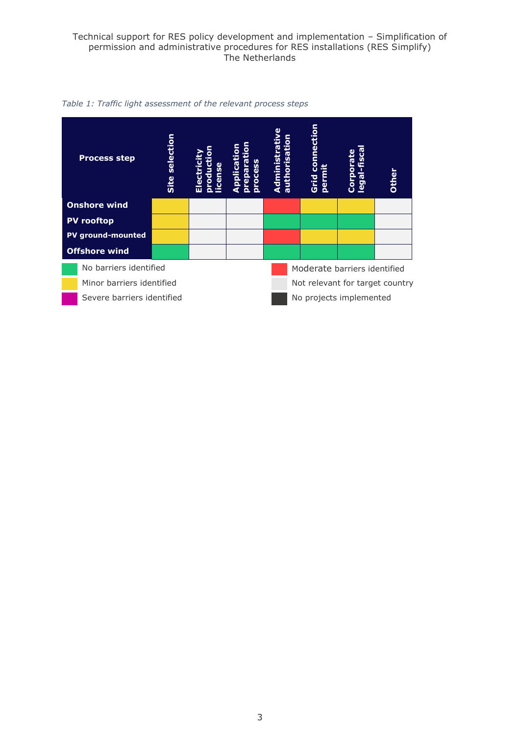#### Technical support for RES policy development and implementation – Simplification of permission and administrative procedures for RES installations (RES Simplify) The Netherlands



*Table 1: Traffic light assessment of the relevant process steps*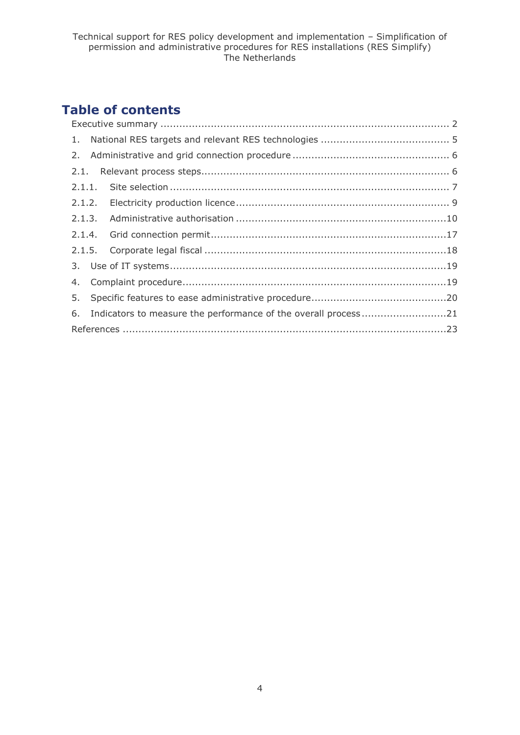## **Table of contents**

| 6. Indicators to measure the performance of the overall process21 |  |
|-------------------------------------------------------------------|--|
|                                                                   |  |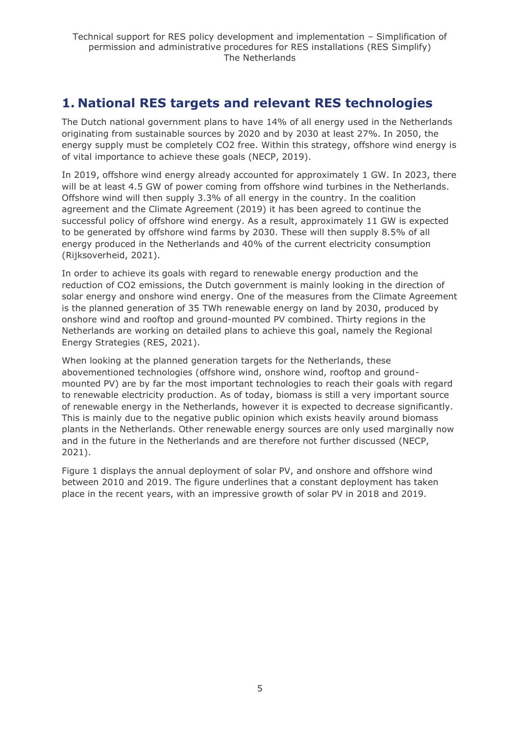## <span id="page-4-0"></span>**1. National RES targets and relevant RES technologies**

The Dutch national government plans to have 14% of all energy used in the Netherlands originating from sustainable sources by 2020 and by 2030 at least 27%. In 2050, the energy supply must be completely CO2 free. Within this strategy, offshore wind energy is of vital importance to achieve these goals (NECP, 2019).

In 2019, offshore wind energy already accounted for approximately 1 GW. In 2023, there will be at least 4.5 GW of power coming from offshore wind turbines in the Netherlands. Offshore wind will then supply 3.3% of all energy in the country. In the coalition agreement and the Climate Agreement (2019) it has been agreed to continue the successful policy of offshore wind energy. As a result, approximately 11 GW is expected to be generated by offshore wind farms by 2030. These will then supply 8.5% of all energy produced in the Netherlands and 40% of the current electricity consumption (Rijksoverheid, 2021).

In order to achieve its goals with regard to renewable energy production and the reduction of CO2 emissions, the Dutch government is mainly looking in the direction of solar energy and onshore wind energy. One of the measures from the Climate Agreement is the planned generation of 35 TWh renewable energy on land by 2030, produced by onshore wind and rooftop and ground-mounted PV combined. Thirty regions in the Netherlands are working on detailed plans to achieve this goal, namely the Regional Energy Strategies (RES, 2021).

When looking at the planned generation targets for the Netherlands, these abovementioned technologies (offshore wind, onshore wind, rooftop and groundmounted PV) are by far the most important technologies to reach their goals with regard to renewable electricity production. As of today, biomass is still a very important source of renewable energy in the Netherlands, however it is expected to decrease significantly. This is mainly due to the negative public opinion which exists heavily around biomass plants in the Netherlands. Other renewable energy sources are only used marginally now and in the future in the Netherlands and are therefore not further discussed (NECP, 2021).

Figure 1 displays the annual deployment of solar PV, and onshore and offshore wind between 2010 and 2019. The figure underlines that a constant deployment has taken place in the recent years, with an impressive growth of solar PV in 2018 and 2019.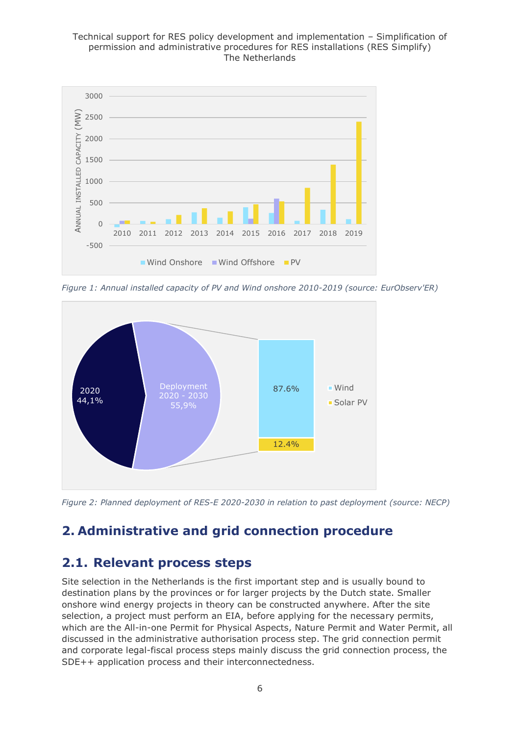#### Technical support for RES policy development and implementation – Simplification of permission and administrative procedures for RES installations (RES Simplify) The Netherlands



*Figure 1: Annual installed capacity of PV and Wind onshore 2010-2019 (source: EurObserv'ER)*



*Figure 2: Planned deployment of RES-E 2020-2030 in relation to past deployment (source: NECP)*

## <span id="page-5-0"></span>**2. Administrative and grid connection procedure**

### <span id="page-5-1"></span>**2.1. Relevant process steps**

Site selection in the Netherlands is the first important step and is usually bound to destination plans by the provinces or for larger projects by the Dutch state. Smaller onshore wind energy projects in theory can be constructed anywhere. After the site selection, a project must perform an EIA, before applying for the necessary permits, which are the All-in-one Permit for Physical Aspects, Nature Permit and Water Permit, all discussed in the administrative authorisation process step. The grid connection permit and corporate legal-fiscal process steps mainly discuss the grid connection process, the SDE++ application process and their interconnectedness.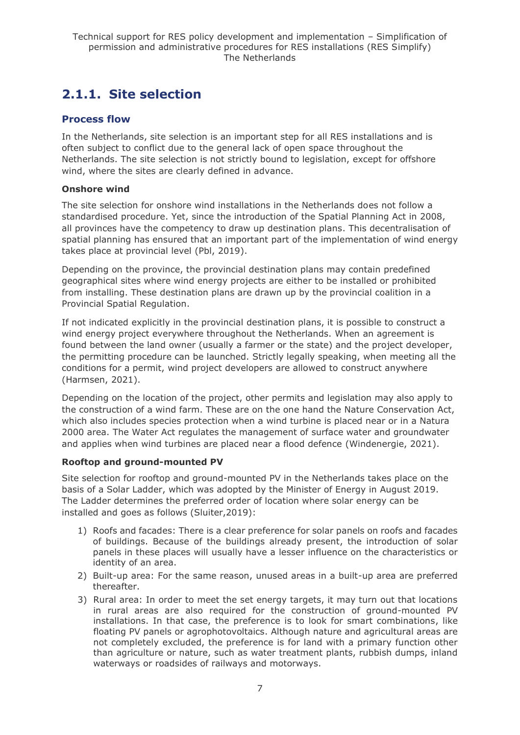## <span id="page-6-0"></span>**2.1.1. Site selection**

### **Process flow**

In the Netherlands, site selection is an important step for all RES installations and is often subject to conflict due to the general lack of open space throughout the Netherlands. The site selection is not strictly bound to legislation, except for offshore wind, where the sites are clearly defined in advance.

#### **Onshore wind**

The site selection for onshore wind installations in the Netherlands does not follow a standardised procedure. Yet, since the introduction of the Spatial Planning Act in 2008, all provinces have the competency to draw up destination plans. This decentralisation of spatial planning has ensured that an important part of the implementation of wind energy takes place at provincial level (Pbl, 2019).

Depending on the province, the provincial destination plans may contain predefined geographical sites where wind energy projects are either to be installed or prohibited from installing. These destination plans are drawn up by the provincial coalition in a Provincial Spatial Regulation.

If not indicated explicitly in the provincial destination plans, it is possible to construct a wind energy project everywhere throughout the Netherlands. When an agreement is found between the land owner (usually a farmer or the state) and the project developer, the permitting procedure can be launched. Strictly legally speaking, when meeting all the conditions for a permit, wind project developers are allowed to construct anywhere (Harmsen, 2021).

Depending on the location of the project, other permits and legislation may also apply to the construction of a wind farm. These are on the one hand the Nature Conservation Act, which also includes species protection when a wind turbine is placed near or in a Natura 2000 area. The Water Act regulates the management of surface water and groundwater and applies when wind turbines are placed near a flood defence (Windenergie, 2021).

#### **Rooftop and ground-mounted PV**

Site selection for rooftop and ground-mounted PV in the Netherlands takes place on the basis of a Solar Ladder, which was adopted by the Minister of Energy in August 2019. The Ladder determines the preferred order of location where solar energy can be installed and goes as follows (Sluiter,2019):

- 1) Roofs and facades: There is a clear preference for solar panels on roofs and facades of buildings. Because of the buildings already present, the introduction of solar panels in these places will usually have a lesser influence on the characteristics or identity of an area.
- 2) Built-up area: For the same reason, unused areas in a built-up area are preferred thereafter.
- 3) Rural area: In order to meet the set energy targets, it may turn out that locations in rural areas are also required for the construction of ground-mounted PV installations. In that case, the preference is to look for smart combinations, like floating PV panels or agrophotovoltaics. Although nature and agricultural areas are not completely excluded, the preference is for land with a primary function other than agriculture or nature, such as water treatment plants, rubbish dumps, inland waterways or roadsides of railways and motorways.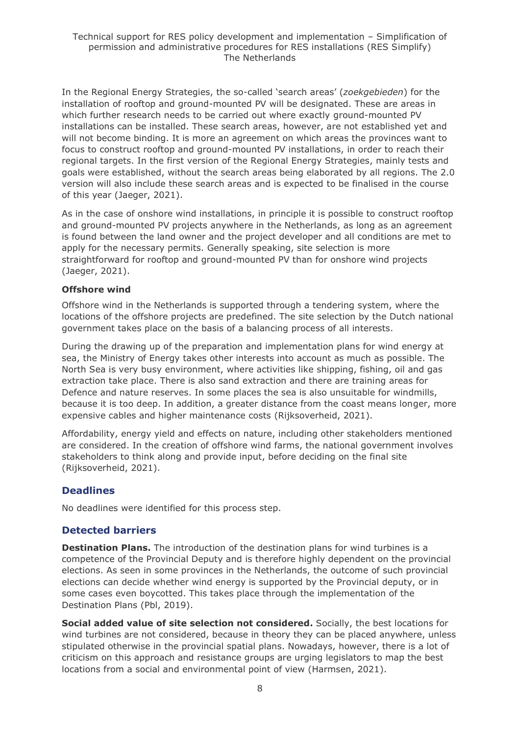In the Regional Energy Strategies, the so-called 'search areas' (*zoekgebieden*) for the installation of rooftop and ground-mounted PV will be designated. These are areas in which further research needs to be carried out where exactly ground-mounted PV installations can be installed. These search areas, however, are not established yet and will not become binding. It is more an agreement on which areas the provinces want to focus to construct rooftop and ground-mounted PV installations, in order to reach their regional targets. In the first version of the Regional Energy Strategies, mainly tests and goals were established, without the search areas being elaborated by all regions. The 2.0 version will also include these search areas and is expected to be finalised in the course of this year (Jaeger, 2021).

As in the case of onshore wind installations, in principle it is possible to construct rooftop and ground-mounted PV projects anywhere in the Netherlands, as long as an agreement is found between the land owner and the project developer and all conditions are met to apply for the necessary permits. Generally speaking, site selection is more straightforward for rooftop and ground-mounted PV than for onshore wind projects (Jaeger, 2021).

#### **Offshore wind**

Offshore wind in the Netherlands is supported through a tendering system, where the locations of the offshore projects are predefined. The site selection by the Dutch national government takes place on the basis of a balancing process of all interests.

During the drawing up of the preparation and implementation plans for wind energy at sea, the Ministry of Energy takes other interests into account as much as possible. The North Sea is very busy environment, where activities like shipping, fishing, oil and gas extraction take place. There is also sand extraction and there are training areas for Defence and nature reserves. In some places the sea is also unsuitable for windmills, because it is too deep. In addition, a greater distance from the coast means longer, more expensive cables and higher maintenance costs (Rijksoverheid, 2021).

Affordability, energy yield and effects on nature, including other stakeholders mentioned are considered. In the creation of offshore wind farms, the national government involves stakeholders to think along and provide input, before deciding on the final site (Rijksoverheid, 2021).

#### **Deadlines**

No deadlines were identified for this process step.

#### **Detected barriers**

**Destination Plans.** The introduction of the destination plans for wind turbines is a competence of the Provincial Deputy and is therefore highly dependent on the provincial elections. As seen in some provinces in the Netherlands, the outcome of such provincial elections can decide whether wind energy is supported by the Provincial deputy, or in some cases even boycotted. This takes place through the implementation of the Destination Plans (Pbl, 2019).

**Social added value of site selection not considered.** Socially, the best locations for wind turbines are not considered, because in theory they can be placed anywhere, unless stipulated otherwise in the provincial spatial plans. Nowadays, however, there is a lot of criticism on this approach and resistance groups are urging legislators to map the best locations from a social and environmental point of view (Harmsen, 2021).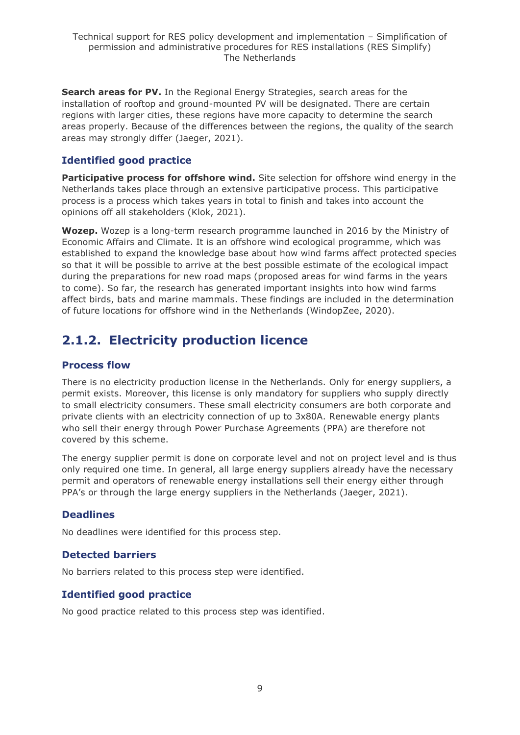**Search areas for PV.** In the Regional Energy Strategies, search areas for the installation of rooftop and ground-mounted PV will be designated. There are certain regions with larger cities, these regions have more capacity to determine the search areas properly. Because of the differences between the regions, the quality of the search areas may strongly differ (Jaeger, 2021).

### **Identified good practice**

**Participative process for offshore wind.** Site selection for offshore wind energy in the Netherlands takes place through an extensive participative process. This participative process is a process which takes years in total to finish and takes into account the opinions off all stakeholders (Klok, 2021).

**Wozep.** Wozep is a long-term research programme launched in 2016 by the Ministry of Economic Affairs and Climate. It is an offshore wind ecological programme, which was established to expand the knowledge base about how wind farms affect protected species so that it will be possible to arrive at the best possible estimate of the ecological impact during the preparations for new road maps (proposed areas for wind farms in the years to come). So far, the research has generated important insights into how wind farms affect birds, bats and marine mammals. These findings are included in the determination of future locations for offshore wind in the Netherlands (WindopZee, 2020).

## <span id="page-8-0"></span>**2.1.2. Electricity production licence**

### **Process flow**

There is no electricity production license in the Netherlands. Only for energy suppliers, a permit exists. Moreover, this license is only mandatory for suppliers who supply directly to small electricity consumers. These small electricity consumers are both corporate and private clients with an electricity connection of up to 3x80A. Renewable energy plants who sell their energy through Power Purchase Agreements (PPA) are therefore not covered by this scheme.

The energy supplier permit is done on corporate level and not on project level and is thus only required one time. In general, all large energy suppliers already have the necessary permit and operators of renewable energy installations sell their energy either through PPA's or through the large energy suppliers in the Netherlands (Jaeger, 2021).

#### **Deadlines**

No deadlines were identified for this process step.

### **Detected barriers**

No barriers related to this process step were identified.

#### **Identified good practice**

No good practice related to this process step was identified.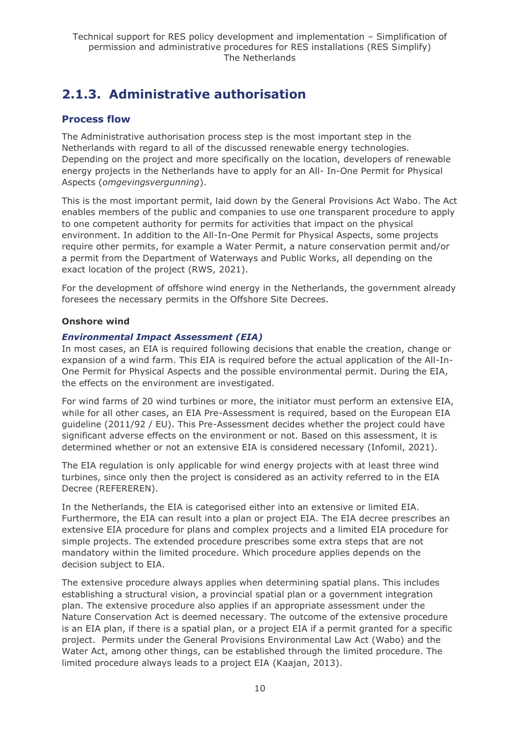## <span id="page-9-0"></span>**2.1.3. Administrative authorisation**

### **Process flow**

The Administrative authorisation process step is the most important step in the Netherlands with regard to all of the discussed renewable energy technologies. Depending on the project and more specifically on the location, developers of renewable energy projects in the Netherlands have to apply for an All- In-One Permit for Physical Aspects (*omgevingsvergunning*).

This is the most important permit, laid down by the General Provisions Act Wabo. The Act enables members of the public and companies to use one transparent procedure to apply to one competent authority for permits for activities that impact on the physical environment. In addition to the All-In-One Permit for Physical Aspects, some projects require other permits, for example a Water Permit, a nature conservation permit and/or a permit from the Department of Waterways and Public Works, all depending on the exact location of the project (RWS, 2021).

For the development of offshore wind energy in the Netherlands, the government already foresees the necessary permits in the Offshore Site Decrees.

#### **Onshore wind**

#### *Environmental Impact Assessment (EIA)*

In most cases, an EIA is required following decisions that enable the creation, change or expansion of a wind farm. This EIA is required before the actual application of the All-In-One Permit for Physical Aspects and the possible environmental permit. During the EIA, the effects on the environment are investigated.

For wind farms of 20 wind turbines or more, the initiator must perform an extensive EIA, while for all other cases, an EIA Pre-Assessment is required, based on the European EIA guideline (2011/92 / EU). This Pre-Assessment decides whether the project could have significant adverse effects on the environment or not. Based on this assessment, it is determined whether or not an extensive EIA is considered necessary (Infomil, 2021).

The EIA regulation is only applicable for wind energy projects with at least three wind turbines, since only then the project is considered as an activity referred to in the EIA Decree (REFEREREN).

In the Netherlands, the EIA is categorised either into an extensive or limited EIA. Furthermore, the EIA can result into a plan or project EIA. The EIA decree prescribes an extensive EIA procedure for plans and complex projects and a limited EIA procedure for simple projects. The extended procedure prescribes some extra steps that are not mandatory within the limited procedure. Which procedure applies depends on the decision subject to EIA.

The extensive procedure always applies when determining spatial plans. This includes establishing a structural vision, a provincial spatial plan or a government integration plan. The extensive procedure also applies if an appropriate assessment under the Nature Conservation Act is deemed necessary. The outcome of the extensive procedure is an EIA plan, if there is a spatial plan, or a project EIA if a permit granted for a specific project. Permits under the General Provisions Environmental Law Act (Wabo) and the Water Act, among other things, can be established through the limited procedure. The limited procedure always leads to a project EIA (Kaajan, 2013).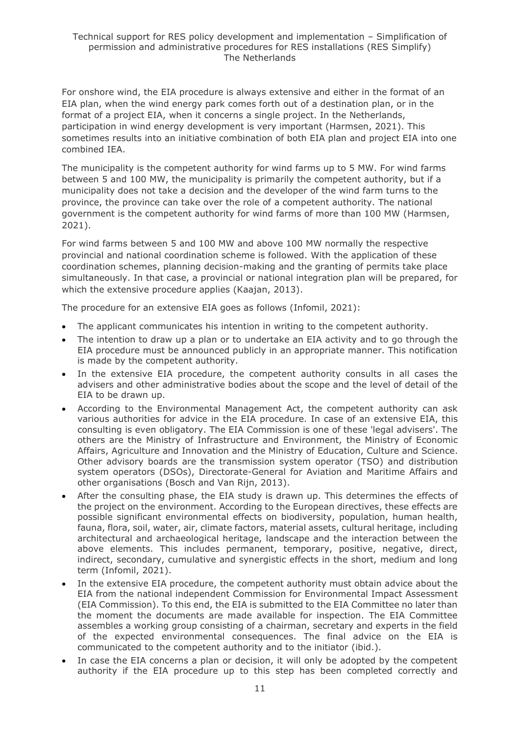For onshore wind, the EIA procedure is always extensive and either in the format of an EIA plan, when the wind energy park comes forth out of a destination plan, or in the format of a project EIA, when it concerns a single project. In the Netherlands, participation in wind energy development is very important (Harmsen, 2021). This sometimes results into an initiative combination of both EIA plan and project EIA into one combined IEA.

The municipality is the competent authority for wind farms up to 5 MW. For wind farms between 5 and 100 MW, the municipality is primarily the competent authority, but if a municipality does not take a decision and the developer of the wind farm turns to the province, the province can take over the role of a competent authority. The national government is the competent authority for wind farms of more than 100 MW (Harmsen, 2021).

For wind farms between 5 and 100 MW and above 100 MW normally the respective provincial and national coordination scheme is followed. With the application of these coordination schemes, planning decision-making and the granting of permits take place simultaneously. In that case, a provincial or national integration plan will be prepared, for which the extensive procedure applies (Kaajan, 2013).

The procedure for an extensive EIA goes as follows (Infomil, 2021):

- The applicant communicates his intention in writing to the competent authority.
- The intention to draw up a plan or to undertake an EIA activity and to go through the EIA procedure must be announced publicly in an appropriate manner. This notification is made by the competent authority.
- In the extensive EIA procedure, the competent authority consults in all cases the advisers and other administrative bodies about the scope and the level of detail of the EIA to be drawn up.
- According to the Environmental Management Act, the competent authority can ask various authorities for advice in the EIA procedure. In case of an extensive EIA, this consulting is even obligatory. The EIA Commission is one of these 'legal advisers'. The others are the Ministry of Infrastructure and Environment, the Ministry of Economic Affairs, Agriculture and Innovation and the Ministry of Education, Culture and Science. Other advisory boards are the transmission system operator (TSO) and distribution system operators (DSOs), Directorate-General for Aviation and Maritime Affairs and other organisations (Bosch and Van Rijn, 2013).
- After the consulting phase, the EIA study is drawn up. This determines the effects of the project on the environment. According to the European directives, these effects are possible significant environmental effects on biodiversity, population, human health, fauna, flora, soil, water, air, climate factors, material assets, cultural heritage, including architectural and archaeological heritage, landscape and the interaction between the above elements. This includes permanent, temporary, positive, negative, direct, indirect, secondary, cumulative and synergistic effects in the short, medium and long term (Infomil, 2021).
- In the extensive EIA procedure, the competent authority must obtain advice about the EIA from the national independent Commission for Environmental Impact Assessment (EIA Commission). To this end, the EIA is submitted to the EIA Committee no later than the moment the documents are made available for inspection. The EIA Committee assembles a working group consisting of a chairman, secretary and experts in the field of the expected environmental consequences. The final advice on the EIA is communicated to the competent authority and to the initiator (ibid.).
- In case the EIA concerns a plan or decision, it will only be adopted by the competent authority if the EIA procedure up to this step has been completed correctly and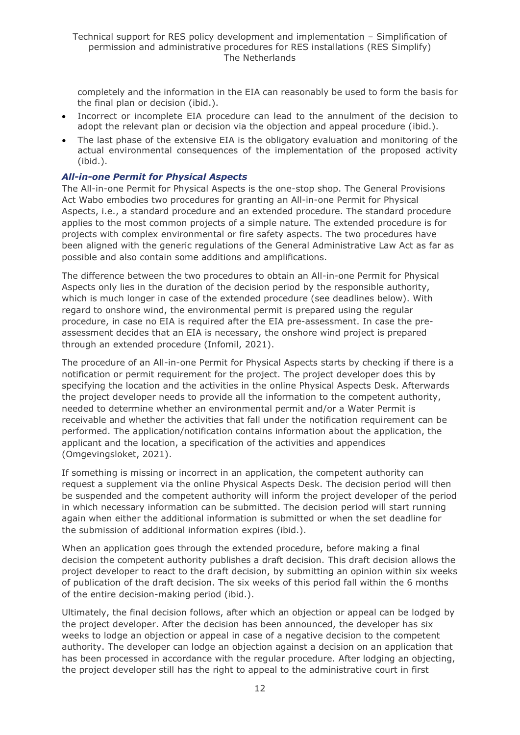completely and the information in the EIA can reasonably be used to form the basis for the final plan or decision (ibid.).

- Incorrect or incomplete EIA procedure can lead to the annulment of the decision to adopt the relevant plan or decision via the objection and appeal procedure (ibid.).
- The last phase of the extensive EIA is the obligatory evaluation and monitoring of the actual environmental consequences of the implementation of the proposed activity (ibid.).

#### *All-in-one Permit for Physical Aspects*

The All-in-one Permit for Physical Aspects is the one-stop shop. The General Provisions Act Wabo embodies two procedures for granting an All-in-one Permit for Physical Aspects, i.e., a standard procedure and an extended procedure. The standard procedure applies to the most common projects of a simple nature. The extended procedure is for projects with complex environmental or fire safety aspects. The two procedures have been aligned with the generic regulations of the General Administrative Law Act as far as possible and also contain some additions and amplifications.

The difference between the two procedures to obtain an All-in-one Permit for Physical Aspects only lies in the duration of the decision period by the responsible authority, which is much longer in case of the extended procedure (see deadlines below). With regard to onshore wind, the environmental permit is prepared using the regular procedure, in case no EIA is required after the EIA pre-assessment. In case the preassessment decides that an EIA is necessary, the onshore wind project is prepared through an extended procedure (Infomil, 2021).

The procedure of an All-in-one Permit for Physical Aspects starts by checking if there is a notification or permit requirement for the project. The project developer does this by specifying the location and the activities in the online Physical Aspects Desk. Afterwards the project developer needs to provide all the information to the competent authority, needed to determine whether an environmental permit and/or a Water Permit is receivable and whether the activities that fall under the notification requirement can be performed. The application/notification contains information about the application, the applicant and the location, a specification of the activities and appendices (Omgevingsloket, 2021).

If something is missing or incorrect in an application, the competent authority can request a supplement via the online Physical Aspects Desk. The decision period will then be suspended and the competent authority will inform the project developer of the period in which necessary information can be submitted. The decision period will start running again when either the additional information is submitted or when the set deadline for the submission of additional information expires (ibid.).

When an application goes through the extended procedure, before making a final decision the competent authority publishes a draft decision. This draft decision allows the project developer to react to the draft decision, by submitting an opinion within six weeks of publication of the draft decision. The six weeks of this period fall within the 6 months of the entire decision-making period (ibid.).

Ultimately, the final decision follows, after which an objection or appeal can be lodged by the project developer. After the decision has been announced, the developer has six weeks to lodge an objection or appeal in case of a negative decision to the competent authority. The developer can lodge an objection against a decision on an application that has been processed in accordance with the regular procedure. After lodging an objecting, the project developer still has the right to appeal to the administrative court in first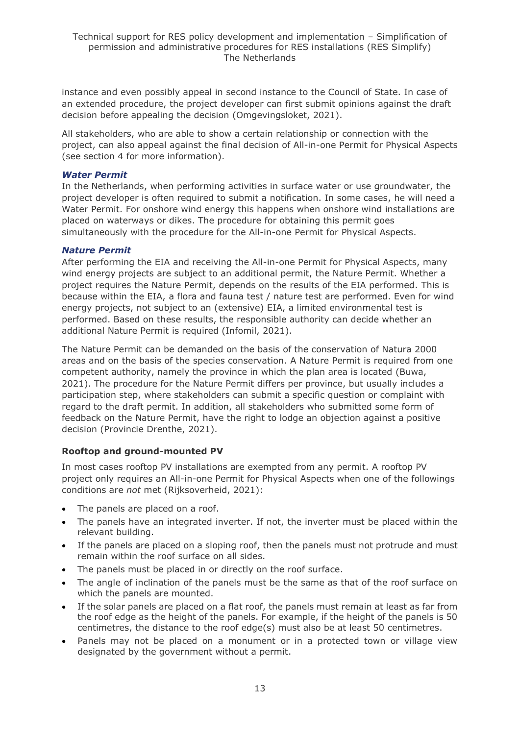instance and even possibly appeal in second instance to the Council of State. In case of an extended procedure, the project developer can first submit opinions against the draft decision before appealing the decision (Omgevingsloket, 2021).

All stakeholders, who are able to show a certain relationship or connection with the project, can also appeal against the final decision of All-in-one Permit for Physical Aspects (see section 4 for more information).

#### *Water Permit*

In the Netherlands, when performing activities in surface water or use groundwater, the project developer is often required to submit a notification. In some cases, he will need a Water Permit. For onshore wind energy this happens when onshore wind installations are placed on waterways or dikes. The procedure for obtaining this permit goes simultaneously with the procedure for the All-in-one Permit for Physical Aspects.

#### *Nature Permit*

After performing the EIA and receiving the All-in-one Permit for Physical Aspects, many wind energy projects are subject to an additional permit, the Nature Permit. Whether a project requires the Nature Permit, depends on the results of the EIA performed. This is because within the EIA, a flora and fauna test / nature test are performed. Even for wind energy projects, not subject to an (extensive) EIA, a limited environmental test is performed. Based on these results, the responsible authority can decide whether an additional Nature Permit is required (Infomil, 2021).

The Nature Permit can be demanded on the basis of the conservation of Natura 2000 areas and on the basis of the species conservation. A Nature Permit is required from one competent authority, namely the province in which the plan area is located (Buwa, 2021). The procedure for the Nature Permit differs per province, but usually includes a participation step, where stakeholders can submit a specific question or complaint with regard to the draft permit. In addition, all stakeholders who submitted some form of feedback on the Nature Permit, have the right to lodge an objection against a positive decision (Provincie Drenthe, 2021).

#### **Rooftop and ground-mounted PV**

In most cases rooftop PV installations are exempted from any permit. A rooftop PV project only requires an All-in-one Permit for Physical Aspects when one of the followings conditions are *not* met (Rijksoverheid, 2021):

- The panels are placed on a roof.
- The panels have an integrated inverter. If not, the inverter must be placed within the relevant building.
- If the panels are placed on a sloping roof, then the panels must not protrude and must remain within the roof surface on all sides.
- The panels must be placed in or directly on the roof surface.
- The angle of inclination of the panels must be the same as that of the roof surface on which the panels are mounted.
- If the solar panels are placed on a flat roof, the panels must remain at least as far from the roof edge as the height of the panels. For example, if the height of the panels is 50 centimetres, the distance to the roof edge(s) must also be at least 50 centimetres.
- Panels may not be placed on a monument or in a protected town or village view designated by the government without a permit.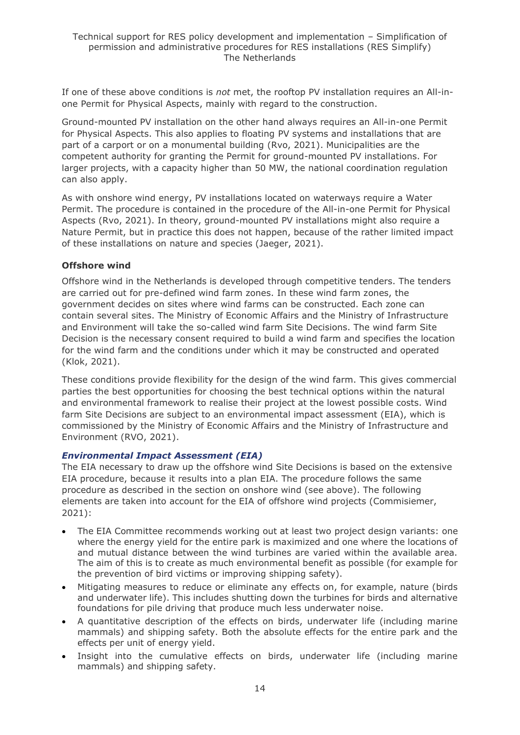If one of these above conditions is *not* met, the rooftop PV installation requires an All-inone Permit for Physical Aspects, mainly with regard to the construction.

Ground-mounted PV installation on the other hand always requires an All-in-one Permit for Physical Aspects. This also applies to floating PV systems and installations that are part of a carport or on a monumental building (Rvo, 2021). Municipalities are the competent authority for granting the Permit for ground-mounted PV installations. For larger projects, with a capacity higher than 50 MW, the national coordination regulation can also apply.

As with onshore wind energy, PV installations located on waterways require a Water Permit. The procedure is contained in the procedure of the All-in-one Permit for Physical Aspects (Rvo, 2021). In theory, ground-mounted PV installations might also require a Nature Permit, but in practice this does not happen, because of the rather limited impact of these installations on nature and species (Jaeger, 2021).

#### **Offshore wind**

Offshore wind in the Netherlands is developed through competitive tenders. The tenders are carried out for pre-defined wind farm zones. In these wind farm zones, the government decides on sites where wind farms can be constructed. Each zone can contain several sites. The Ministry of Economic Affairs and the Ministry of Infrastructure and Environment will take the so-called wind farm Site Decisions. The wind farm Site Decision is the necessary consent required to build a wind farm and specifies the location for the wind farm and the conditions under which it may be constructed and operated (Klok, 2021).

These conditions provide flexibility for the design of the wind farm. This gives commercial parties the best opportunities for choosing the best technical options within the natural and environmental framework to realise their project at the lowest possible costs. Wind farm Site Decisions are subject to an environmental impact assessment (EIA), which is commissioned by the Ministry of Economic Affairs and the Ministry of Infrastructure and Environment (RVO, 2021).

#### *Environmental Impact Assessment (EIA)*

The EIA necessary to draw up the offshore wind Site Decisions is based on the extensive EIA procedure, because it results into a plan EIA. The procedure follows the same procedure as described in the section on onshore wind (see above). The following elements are taken into account for the EIA of offshore wind projects (Commisiemer, 2021):

- The EIA Committee recommends working out at least two project design variants: one where the energy yield for the entire park is maximized and one where the locations of and mutual distance between the wind turbines are varied within the available area. The aim of this is to create as much environmental benefit as possible (for example for the prevention of bird victims or improving shipping safety).
- Mitigating measures to reduce or eliminate any effects on, for example, nature (birds and underwater life). This includes shutting down the turbines for birds and alternative foundations for pile driving that produce much less underwater noise.
- A quantitative description of the effects on birds, underwater life (including marine mammals) and shipping safety. Both the absolute effects for the entire park and the effects per unit of energy yield.
- Insight into the cumulative effects on birds, underwater life (including marine mammals) and shipping safety.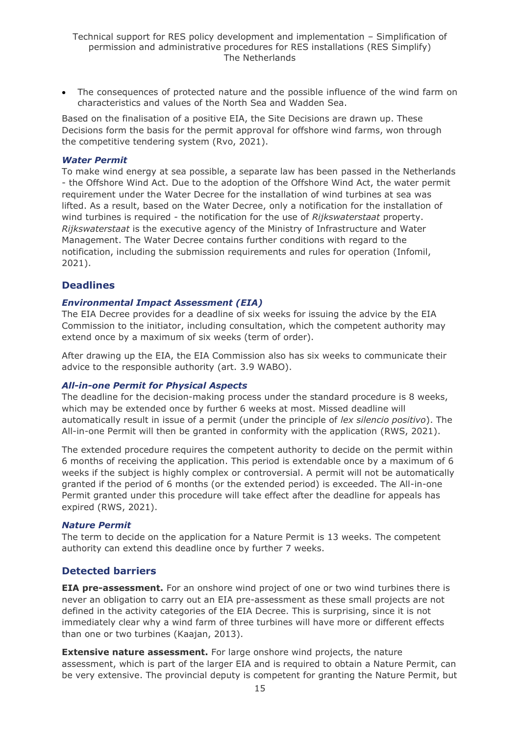• The consequences of protected nature and the possible influence of the wind farm on characteristics and values of the North Sea and Wadden Sea.

Based on the finalisation of a positive EIA, the Site Decisions are drawn up. These Decisions form the basis for the permit approval for offshore wind farms, won through the competitive tendering system (Rvo, 2021).

#### *Water Permit*

To make wind energy at sea possible, a separate law has been passed in the Netherlands - the Offshore Wind Act. Due to the adoption of the Offshore Wind Act, the water permit requirement under the Water Decree for the installation of wind turbines at sea was lifted. As a result, based on the Water Decree, only a notification for the installation of wind turbines is required - the notification for the use of *Rijkswaterstaat* property. *Rijkswaterstaat* is the executive agency of the Ministry of Infrastructure and Water Management. The Water Decree contains further conditions with regard to the notification, including the submission requirements and rules for operation (Infomil, 2021).

#### **Deadlines**

#### *Environmental Impact Assessment (EIA)*

The EIA Decree provides for a deadline of six weeks for issuing the advice by the EIA Commission to the initiator, including consultation, which the competent authority may extend once by a maximum of six weeks (term of order).

After drawing up the EIA, the EIA Commission also has six weeks to communicate their advice to the responsible authority (art. 3.9 WABO).

#### *All-in-one Permit for Physical Aspects*

The deadline for the decision-making process under the standard procedure is 8 weeks, which may be extended once by further 6 weeks at most. Missed deadline will automatically result in issue of a permit (under the principle of *lex silencio positivo*). The All-in-one Permit will then be granted in conformity with the application (RWS, 2021).

The extended procedure requires the competent authority to decide on the permit within 6 months of receiving the application. This period is extendable once by a maximum of 6 weeks if the subject is highly complex or controversial. A permit will not be automatically granted if the period of 6 months (or the extended period) is exceeded. The All-in-one Permit granted under this procedure will take effect after the deadline for appeals has expired (RWS, 2021).

#### *Nature Permit*

The term to decide on the application for a Nature Permit is 13 weeks. The competent authority can extend this deadline once by further 7 weeks.

#### **Detected barriers**

**EIA pre-assessment.** For an onshore wind project of one or two wind turbines there is never an obligation to carry out an EIA pre-assessment as these small projects are not defined in the activity categories of the EIA Decree. This is surprising, since it is not immediately clear why a wind farm of three turbines will have more or different effects than one or two turbines (Kaajan, 2013).

**Extensive nature assessment.** For large onshore wind projects, the nature assessment, which is part of the larger EIA and is required to obtain a Nature Permit, can be very extensive. The provincial deputy is competent for granting the Nature Permit, but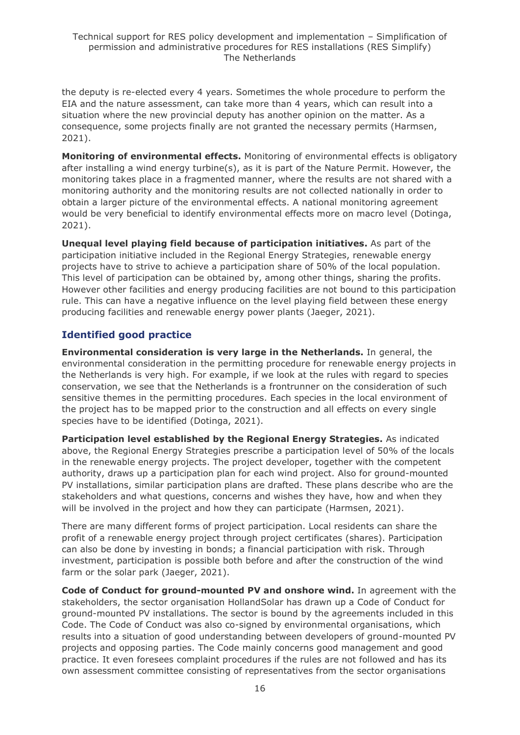the deputy is re-elected every 4 years. Sometimes the whole procedure to perform the EIA and the nature assessment, can take more than 4 years, which can result into a situation where the new provincial deputy has another opinion on the matter. As a consequence, some projects finally are not granted the necessary permits (Harmsen, 2021).

**Monitoring of environmental effects.** Monitoring of environmental effects is obligatory after installing a wind energy turbine(s), as it is part of the Nature Permit. However, the monitoring takes place in a fragmented manner, where the results are not shared with a monitoring authority and the monitoring results are not collected nationally in order to obtain a larger picture of the environmental effects. A national monitoring agreement would be very beneficial to identify environmental effects more on macro level (Dotinga, 2021).

**Unequal level playing field because of participation initiatives.** As part of the participation initiative included in the Regional Energy Strategies, renewable energy projects have to strive to achieve a participation share of 50% of the local population. This level of participation can be obtained by, among other things, sharing the profits. However other facilities and energy producing facilities are not bound to this participation rule. This can have a negative influence on the level playing field between these energy producing facilities and renewable energy power plants (Jaeger, 2021).

### **Identified good practice**

**Environmental consideration is very large in the Netherlands.** In general, the environmental consideration in the permitting procedure for renewable energy projects in the Netherlands is very high. For example, if we look at the rules with regard to species conservation, we see that the Netherlands is a frontrunner on the consideration of such sensitive themes in the permitting procedures. Each species in the local environment of the project has to be mapped prior to the construction and all effects on every single species have to be identified (Dotinga, 2021).

**Participation level established by the Regional Energy Strategies.** As indicated above, the Regional Energy Strategies prescribe a participation level of 50% of the locals in the renewable energy projects. The project developer, together with the competent authority, draws up a participation plan for each wind project. Also for ground-mounted PV installations, similar participation plans are drafted. These plans describe who are the stakeholders and what questions, concerns and wishes they have, how and when they will be involved in the project and how they can participate (Harmsen, 2021).

There are many different forms of project participation. Local residents can share the profit of a renewable energy project through project certificates (shares). Participation can also be done by investing in bonds; a financial participation with risk. Through investment, participation is possible both before and after the construction of the wind farm or the solar park (Jaeger, 2021).

**Code of Conduct for ground-mounted PV and onshore wind.** In agreement with the stakeholders, the sector organisation HollandSolar has drawn up a Code of Conduct for ground-mounted PV installations. The sector is bound by the agreements included in this Code. The Code of Conduct was also co-signed by environmental organisations, which results into a situation of good understanding between developers of ground-mounted PV projects and opposing parties. The Code mainly concerns good management and good practice. It even foresees complaint procedures if the rules are not followed and has its own assessment committee consisting of representatives from the sector organisations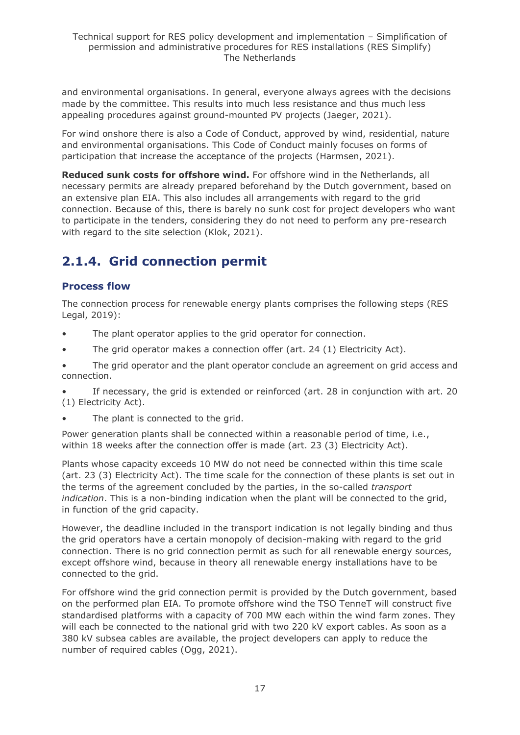and environmental organisations. In general, everyone always agrees with the decisions made by the committee. This results into much less resistance and thus much less appealing procedures against ground-mounted PV projects (Jaeger, 2021).

For wind onshore there is also a Code of Conduct, approved by wind, residential, nature and environmental organisations. This Code of Conduct mainly focuses on forms of participation that increase the acceptance of the projects (Harmsen, 2021).

**Reduced sunk costs for offshore wind.** For offshore wind in the Netherlands, all necessary permits are already prepared beforehand by the Dutch government, based on an extensive plan EIA. This also includes all arrangements with regard to the grid connection. Because of this, there is barely no sunk cost for project developers who want to participate in the tenders, considering they do not need to perform any pre-research with regard to the site selection (Klok, 2021).

## <span id="page-16-0"></span>**2.1.4. Grid connection permit**

### **Process flow**

The connection process for renewable energy plants comprises the following steps (RES Legal, 2019):

- The plant operator applies to the grid operator for connection.
- The grid operator makes a connection offer (art. 24 (1) Electricity Act).
- The grid operator and the plant operator conclude an agreement on grid access and connection.
- If necessary, the grid is extended or reinforced (art. 28 in conjunction with art. 20 (1) Electricity Act).
- The plant is connected to the grid.

Power generation plants shall be connected within a reasonable period of time, i.e., within 18 weeks after the connection offer is made (art. 23 (3) Electricity Act).

Plants whose capacity exceeds 10 MW do not need be connected within this time scale (art. 23 (3) Electricity Act). The time scale for the connection of these plants is set out in the terms of the agreement concluded by the parties, in the so-called *transport indication*. This is a non-binding indication when the plant will be connected to the grid, in function of the grid capacity.

However, the deadline included in the transport indication is not legally binding and thus the grid operators have a certain monopoly of decision-making with regard to the grid connection. There is no grid connection permit as such for all renewable energy sources, except offshore wind, because in theory all renewable energy installations have to be connected to the grid.

For offshore wind the grid connection permit is provided by the Dutch government, based on the performed plan EIA. To promote offshore wind the TSO TenneT will construct five standardised platforms with a capacity of 700 MW each within the wind farm zones. They will each be connected to the national grid with two 220 kV export cables. As soon as a 380 kV subsea cables are available, the project developers can apply to reduce the number of required cables (Ogg, 2021).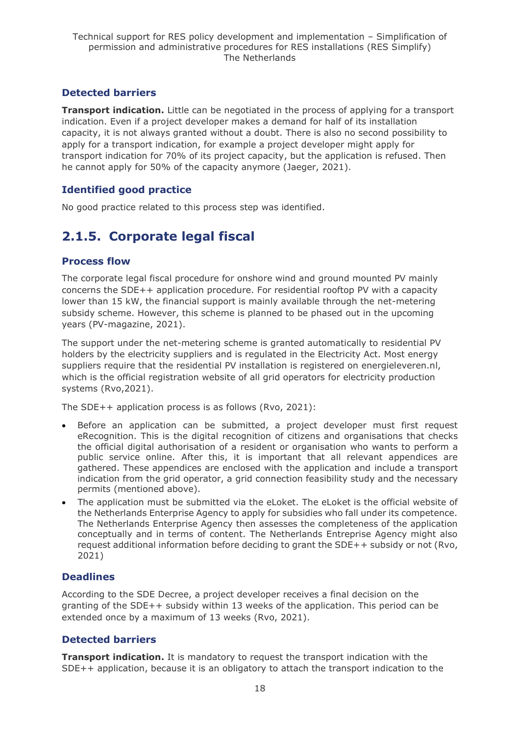### **Detected barriers**

**Transport indication.** Little can be negotiated in the process of applying for a transport indication. Even if a project developer makes a demand for half of its installation capacity, it is not always granted without a doubt. There is also no second possibility to apply for a transport indication, for example a project developer might apply for transport indication for 70% of its project capacity, but the application is refused. Then he cannot apply for 50% of the capacity anymore (Jaeger, 2021).

### **Identified good practice**

No good practice related to this process step was identified.

## <span id="page-17-0"></span>**2.1.5. Corporate legal fiscal**

#### **Process flow**

The corporate legal fiscal procedure for onshore wind and ground mounted PV mainly concerns the SDE++ application procedure. For residential rooftop PV with a capacity lower than 15 kW, the financial support is mainly available through the net-metering subsidy scheme. However, this scheme is planned to be phased out in the upcoming years (PV-magazine, 2021).

The support under the net-metering scheme is granted automatically to residential PV holders by the electricity suppliers and is regulated in the Electricity Act. Most energy suppliers require that the residential PV installation is registered on energieleveren.nl, which is the official registration website of all grid operators for electricity production systems (Rvo,2021).

The SDE++ application process is as follows (Rvo, 2021):

- Before an application can be submitted, a project developer must first request eRecognition. This is the digital recognition of citizens and organisations that checks the official digital authorisation of a resident or organisation who wants to perform a public service online. After this, it is important that all relevant appendices are gathered. These appendices are enclosed with the application and include a transport indication from the grid operator, a grid connection feasibility study and the necessary permits (mentioned above).
- The application must be submitted via the eLoket. The eLoket is the official website of the Netherlands Enterprise Agency to apply for subsidies who fall under its competence. The Netherlands Enterprise Agency then assesses the completeness of the application conceptually and in terms of content. The Netherlands Entreprise Agency might also request additional information before deciding to grant the SDE++ subsidy or not (Rvo, 2021)

### **Deadlines**

According to the SDE Decree, a project developer receives a final decision on the granting of the SDE++ subsidy within 13 weeks of the application. This period can be extended once by a maximum of 13 weeks (Rvo, 2021).

### **Detected barriers**

**Transport indication.** It is mandatory to request the transport indication with the SDE++ application, because it is an obligatory to attach the transport indication to the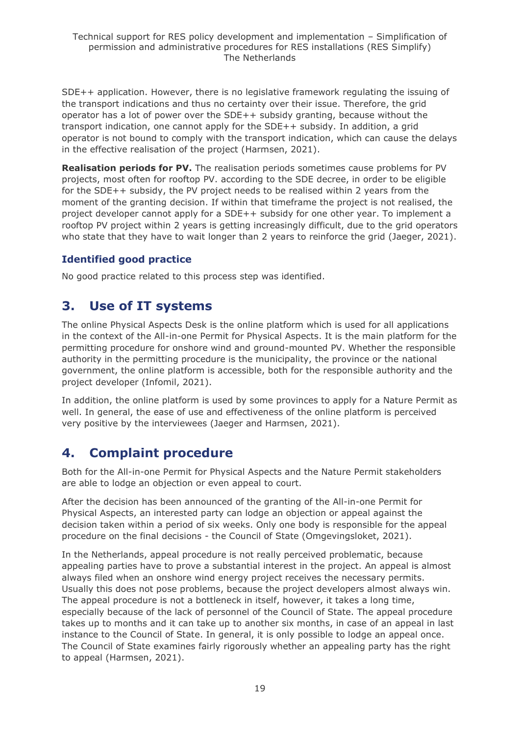SDE++ application. However, there is no legislative framework regulating the issuing of the transport indications and thus no certainty over their issue. Therefore, the grid operator has a lot of power over the SDE++ subsidy granting, because without the transport indication, one cannot apply for the SDE++ subsidy. In addition, a grid operator is not bound to comply with the transport indication, which can cause the delays in the effective realisation of the project (Harmsen, 2021).

**Realisation periods for PV.** The realisation periods sometimes cause problems for PV projects, most often for rooftop PV. according to the SDE decree, in order to be eligible for the SDE++ subsidy, the PV project needs to be realised within 2 years from the moment of the granting decision. If within that timeframe the project is not realised, the project developer cannot apply for a SDE++ subsidy for one other year. To implement a rooftop PV project within 2 years is getting increasingly difficult, due to the grid operators who state that they have to wait longer than 2 years to reinforce the grid (Jaeger, 2021).

### **Identified good practice**

No good practice related to this process step was identified.

## <span id="page-18-0"></span>**3. Use of IT systems**

The online Physical Aspects Desk is the online platform which is used for all applications in the context of the All-in-one Permit for Physical Aspects. It is the main platform for the permitting procedure for onshore wind and ground-mounted PV. Whether the responsible authority in the permitting procedure is the municipality, the province or the national government, the online platform is accessible, both for the responsible authority and the project developer (Infomil, 2021).

In addition, the online platform is used by some provinces to apply for a Nature Permit as well. In general, the ease of use and effectiveness of the online platform is perceived very positive by the interviewees (Jaeger and Harmsen, 2021).

## <span id="page-18-1"></span>**4. Complaint procedure**

Both for the All-in-one Permit for Physical Aspects and the Nature Permit stakeholders are able to lodge an objection or even appeal to court.

After the decision has been announced of the granting of the All-in-one Permit for Physical Aspects, an interested party can lodge an objection or appeal against the decision taken within a period of six weeks. Only one body is responsible for the appeal procedure on the final decisions - the Council of State (Omgevingsloket, 2021).

In the Netherlands, appeal procedure is not really perceived problematic, because appealing parties have to prove a substantial interest in the project. An appeal is almost always filed when an onshore wind energy project receives the necessary permits. Usually this does not pose problems, because the project developers almost always win. The appeal procedure is not a bottleneck in itself, however, it takes a long time, especially because of the lack of personnel of the Council of State. The appeal procedure takes up to months and it can take up to another six months, in case of an appeal in last instance to the Council of State. In general, it is only possible to lodge an appeal once. The Council of State examines fairly rigorously whether an appealing party has the right to appeal (Harmsen, 2021).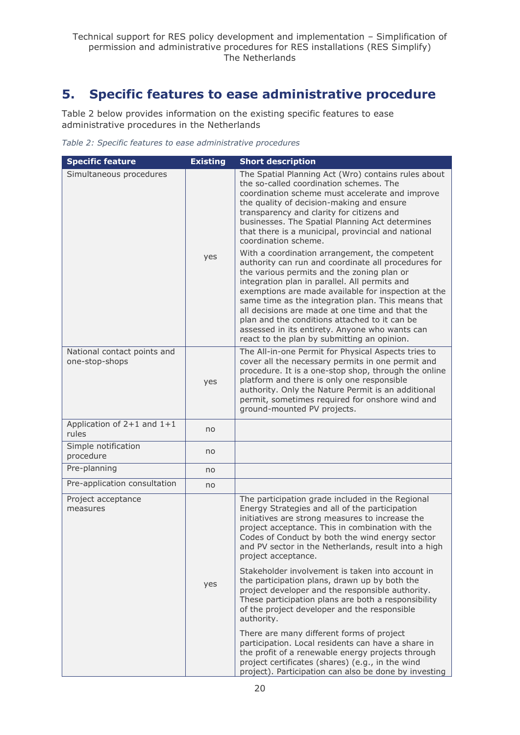## <span id="page-19-0"></span>**5. Specific features to ease administrative procedure**

Table 2 below provides information on the existing specific features to ease administrative procedures in the Netherlands

*Table 2: Specific features to ease administrative procedures*

| <b>Specific feature</b>                       | <b>Existing</b> | <b>Short description</b>                                                                                                                                                                                                                                                                                                                                                                                                                                                                                                                                                                                                                                                                                                                                                                                                                                                                               |
|-----------------------------------------------|-----------------|--------------------------------------------------------------------------------------------------------------------------------------------------------------------------------------------------------------------------------------------------------------------------------------------------------------------------------------------------------------------------------------------------------------------------------------------------------------------------------------------------------------------------------------------------------------------------------------------------------------------------------------------------------------------------------------------------------------------------------------------------------------------------------------------------------------------------------------------------------------------------------------------------------|
| Simultaneous procedures                       | yes             | The Spatial Planning Act (Wro) contains rules about<br>the so-called coordination schemes. The<br>coordination scheme must accelerate and improve<br>the quality of decision-making and ensure<br>transparency and clarity for citizens and<br>businesses. The Spatial Planning Act determines<br>that there is a municipal, provincial and national<br>coordination scheme.<br>With a coordination arrangement, the competent<br>authority can run and coordinate all procedures for<br>the various permits and the zoning plan or<br>integration plan in parallel. All permits and<br>exemptions are made available for inspection at the<br>same time as the integration plan. This means that<br>all decisions are made at one time and that the<br>plan and the conditions attached to it can be<br>assessed in its entirety. Anyone who wants can<br>react to the plan by submitting an opinion. |
| National contact points and<br>one-stop-shops | yes             | The All-in-one Permit for Physical Aspects tries to<br>cover all the necessary permits in one permit and<br>procedure. It is a one-stop shop, through the online<br>platform and there is only one responsible<br>authority. Only the Nature Permit is an additional<br>permit, sometimes required for onshore wind and<br>ground-mounted PV projects.                                                                                                                                                                                                                                                                                                                                                                                                                                                                                                                                                 |
| Application of $2+1$ and $1+1$<br>rules       | no              |                                                                                                                                                                                                                                                                                                                                                                                                                                                                                                                                                                                                                                                                                                                                                                                                                                                                                                        |
| Simple notification<br>procedure              | no              |                                                                                                                                                                                                                                                                                                                                                                                                                                                                                                                                                                                                                                                                                                                                                                                                                                                                                                        |
| Pre-planning                                  | no              |                                                                                                                                                                                                                                                                                                                                                                                                                                                                                                                                                                                                                                                                                                                                                                                                                                                                                                        |
| Pre-application consultation                  | no              |                                                                                                                                                                                                                                                                                                                                                                                                                                                                                                                                                                                                                                                                                                                                                                                                                                                                                                        |
| Project acceptance<br>measures                |                 | The participation grade included in the Regional<br>Energy Strategies and all of the participation<br>initiatives are strong measures to increase the<br>project acceptance. This in combination with the<br>Codes of Conduct by both the wind energy sector<br>and PV sector in the Netherlands, result into a high<br>project acceptance.                                                                                                                                                                                                                                                                                                                                                                                                                                                                                                                                                            |
|                                               | yes             | Stakeholder involvement is taken into account in<br>the participation plans, drawn up by both the<br>project developer and the responsible authority.<br>These participation plans are both a responsibility<br>of the project developer and the responsible<br>authority.                                                                                                                                                                                                                                                                                                                                                                                                                                                                                                                                                                                                                             |
|                                               |                 | There are many different forms of project<br>participation. Local residents can have a share in<br>the profit of a renewable energy projects through<br>project certificates (shares) (e.g., in the wind<br>project). Participation can also be done by investing                                                                                                                                                                                                                                                                                                                                                                                                                                                                                                                                                                                                                                      |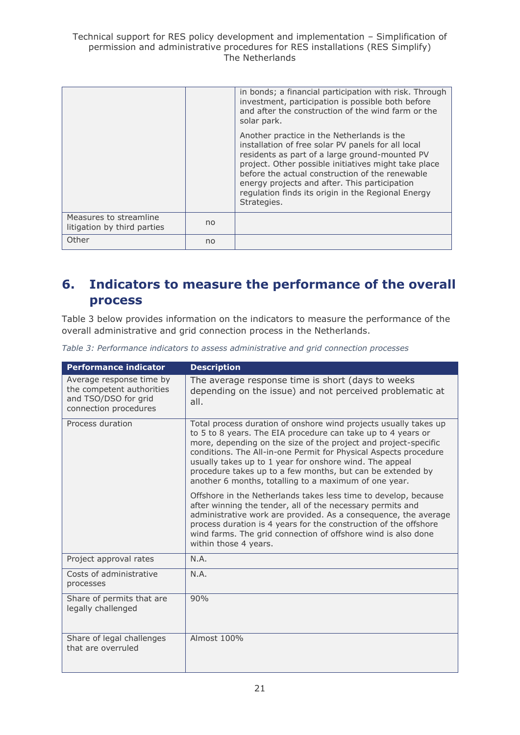Technical support for RES policy development and implementation – Simplification of permission and administrative procedures for RES installations (RES Simplify) The Netherlands

|                                                       |    | in bonds; a financial participation with risk. Through<br>investment, participation is possible both before<br>and after the construction of the wind farm or the                                                                                                                                                                                                                                  |
|-------------------------------------------------------|----|----------------------------------------------------------------------------------------------------------------------------------------------------------------------------------------------------------------------------------------------------------------------------------------------------------------------------------------------------------------------------------------------------|
|                                                       |    | solar park.<br>Another practice in the Netherlands is the<br>installation of free solar PV panels for all local<br>residents as part of a large ground-mounted PV<br>project. Other possible initiatives might take place<br>before the actual construction of the renewable<br>energy projects and after. This participation<br>regulation finds its origin in the Regional Energy<br>Strategies. |
|                                                       |    |                                                                                                                                                                                                                                                                                                                                                                                                    |
| Measures to streamline<br>litigation by third parties | no |                                                                                                                                                                                                                                                                                                                                                                                                    |
| Other                                                 | no |                                                                                                                                                                                                                                                                                                                                                                                                    |

## <span id="page-20-0"></span>**6. Indicators to measure the performance of the overall process**

Table 3 below provides information on the indicators to measure the performance of the overall administrative and grid connection process in the Netherlands.

|  |  |  |  |  |  |  | Table 3: Performance indicators to assess administrative and grid connection processes |  |  |  |  |
|--|--|--|--|--|--|--|----------------------------------------------------------------------------------------|--|--|--|--|
|--|--|--|--|--|--|--|----------------------------------------------------------------------------------------|--|--|--|--|

| <b>Performance indicator</b>                                                                           | <b>Description</b>                                                                                                                                                                                                                                                                                                                                                                                                                                        |
|--------------------------------------------------------------------------------------------------------|-----------------------------------------------------------------------------------------------------------------------------------------------------------------------------------------------------------------------------------------------------------------------------------------------------------------------------------------------------------------------------------------------------------------------------------------------------------|
| Average response time by<br>the competent authorities<br>and TSO/DSO for grid<br>connection procedures | The average response time is short (days to weeks<br>depending on the issue) and not perceived problematic at<br>all.                                                                                                                                                                                                                                                                                                                                     |
| Process duration                                                                                       | Total process duration of onshore wind projects usually takes up<br>to 5 to 8 years. The EIA procedure can take up to 4 years or<br>more, depending on the size of the project and project-specific<br>conditions. The All-in-one Permit for Physical Aspects procedure<br>usually takes up to 1 year for onshore wind. The appeal<br>procedure takes up to a few months, but can be extended by<br>another 6 months, totalling to a maximum of one year. |
|                                                                                                        | Offshore in the Netherlands takes less time to develop, because<br>after winning the tender, all of the necessary permits and<br>administrative work are provided. As a consequence, the average<br>process duration is 4 years for the construction of the offshore<br>wind farms. The grid connection of offshore wind is also done<br>within those 4 years.                                                                                            |
| Project approval rates                                                                                 | N.A.                                                                                                                                                                                                                                                                                                                                                                                                                                                      |
| Costs of administrative<br>processes                                                                   | N.A.                                                                                                                                                                                                                                                                                                                                                                                                                                                      |
| Share of permits that are<br>legally challenged                                                        | 90%                                                                                                                                                                                                                                                                                                                                                                                                                                                       |
| Share of legal challenges<br>that are overruled                                                        | Almost 100%                                                                                                                                                                                                                                                                                                                                                                                                                                               |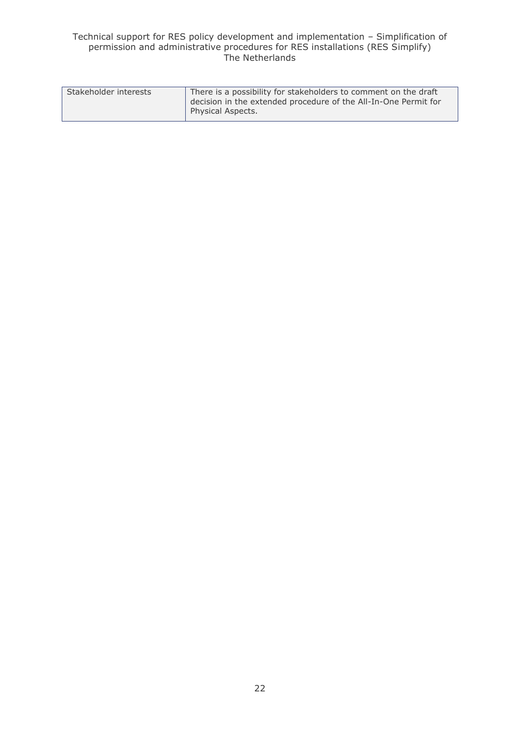#### Technical support for RES policy development and implementation – Simplification of permission and administrative procedures for RES installations (RES Simplify) The Netherlands

| Stakeholder interests | There is a possibility for stakeholders to comment on the draft |  |  |  |  |  |
|-----------------------|-----------------------------------------------------------------|--|--|--|--|--|
|                       | decision in the extended procedure of the All-In-One Permit for |  |  |  |  |  |
|                       | Physical Aspects.                                               |  |  |  |  |  |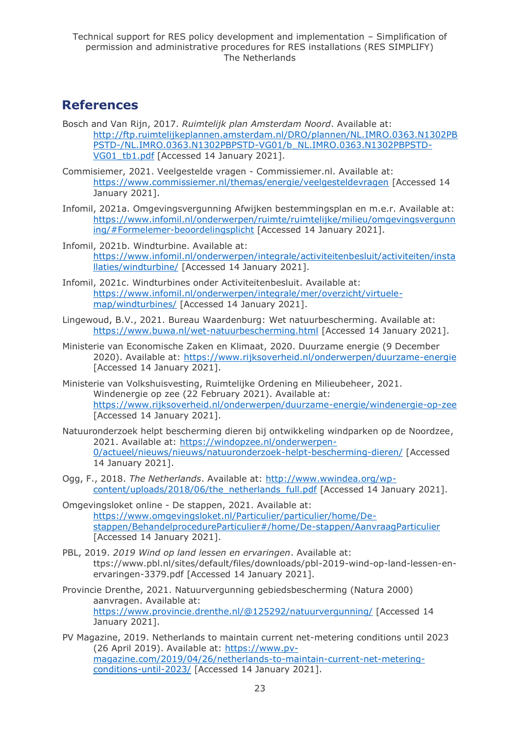### <span id="page-22-0"></span>**References**

- Bosch and Van Rijn, 2017. *Ruimtelijk plan Amsterdam Noord*. Available at: [http://ftp.ruimtelijkeplannen.amsterdam.nl/DRO/plannen/NL.IMRO.0363.N1302PB](http://ftp.ruimtelijkeplannen.amsterdam.nl/DRO/plannen/NL.IMRO.0363.N1302PBPSTD-/NL.IMRO.0363.N1302PBPSTD-VG01/b_NL.IMRO.0363.N1302PBPSTD-VG01_tb1.pdf) [PSTD-/NL.IMRO.0363.N1302PBPSTD-VG01/b\\_NL.IMRO.0363.N1302PBPSTD-](http://ftp.ruimtelijkeplannen.amsterdam.nl/DRO/plannen/NL.IMRO.0363.N1302PBPSTD-/NL.IMRO.0363.N1302PBPSTD-VG01/b_NL.IMRO.0363.N1302PBPSTD-VG01_tb1.pdf)VG01 tb1.pdf [Accessed 14 January 2021].
- Commisiemer, 2021. Veelgestelde vragen Commissiemer.nl. Available at: <https://www.commissiemer.nl/themas/energie/veelgesteldevragen> [Accessed 14 January 2021].
- Infomil, 2021a. Omgevingsvergunning Afwijken bestemmingsplan en m.e.r. Available at: [https://www.infomil.nl/onderwerpen/ruimte/ruimtelijke/milieu/omgevingsvergunn](https://www.infomil.nl/onderwerpen/ruimte/ruimtelijke/milieu/omgevingsvergunning/#Formelemer-beoordelingsplicht) [ing/#Formelemer-beoordelingsplicht](https://www.infomil.nl/onderwerpen/ruimte/ruimtelijke/milieu/omgevingsvergunning/#Formelemer-beoordelingsplicht) [Accessed 14 January 2021].
- Infomil, 2021b. Windturbine. Available at: [https://www.infomil.nl/onderwerpen/integrale/activiteitenbesluit/activiteiten/insta](https://www.infomil.nl/onderwerpen/integrale/activiteitenbesluit/activiteiten/installaties/windturbine/) [llaties/windturbine/](https://www.infomil.nl/onderwerpen/integrale/activiteitenbesluit/activiteiten/installaties/windturbine/) [Accessed 14 January 2021].
- Infomil, 2021c. Windturbines onder Activiteitenbesluit. Available at: [https://www.infomil.nl/onderwerpen/integrale/mer/overzicht/virtuele](https://www.infomil.nl/onderwerpen/integrale/mer/overzicht/virtuele-map/windturbines/)[map/windturbines/](https://www.infomil.nl/onderwerpen/integrale/mer/overzicht/virtuele-map/windturbines/) [Accessed 14 January 2021].
- Lingewoud, B.V., 2021. Bureau Waardenburg: Wet natuurbescherming. Available at: <https://www.buwa.nl/wet-natuurbescherming.html> [Accessed 14 January 2021].
- Ministerie van Economische Zaken en Klimaat, 2020. Duurzame energie (9 December 2020). Available at:<https://www.rijksoverheid.nl/onderwerpen/duurzame-energie> [Accessed 14 January 2021].
- Ministerie van Volkshuisvesting, Ruimtelijke Ordening en Milieubeheer, 2021. Windenergie op zee (22 February 2021). Available at: <https://www.rijksoverheid.nl/onderwerpen/duurzame-energie/windenergie-op-zee> [Accessed 14 January 2021].
- Natuuronderzoek helpt bescherming dieren bij ontwikkeling windparken op de Noordzee, 2021. Available at: [https://windopzee.nl/onderwerpen-](https://windopzee.nl/onderwerpen-0/actueel/nieuws/nieuws/natuuronderzoek-helpt-bescherming-dieren/)[0/actueel/nieuws/nieuws/natuuronderzoek-helpt-bescherming-dieren/](https://windopzee.nl/onderwerpen-0/actueel/nieuws/nieuws/natuuronderzoek-helpt-bescherming-dieren/) [Accessed 14 January 2021].
- Ogg, F., 2018. *The Netherlands*. Available at: [http://www.wwindea.org/wp](http://www.wwindea.org/wp-content/uploads/2018/06/the_netherlands_full.pdf)[content/uploads/2018/06/the\\_netherlands\\_full.pdf](http://www.wwindea.org/wp-content/uploads/2018/06/the_netherlands_full.pdf) [Accessed 14 January 2021].
- Omgevingsloket online De stappen, 2021. Available at: [https://www.omgevingsloket.nl/Particulier/particulier/home/De](https://www.omgevingsloket.nl/Particulier/particulier/home/De-stappen/BehandelprocedureParticulier#/home/De-stappen/AanvraagParticulier)[stappen/BehandelprocedureParticulier#/home/De-stappen/AanvraagParticulier](https://www.omgevingsloket.nl/Particulier/particulier/home/De-stappen/BehandelprocedureParticulier#/home/De-stappen/AanvraagParticulier) [Accessed 14 January 2021].
- PBL, 2019. *2019 Wind op land lessen en ervaringen*. Available at: ttps://www.pbl.nl/sites/default/files/downloads/pbl-2019-wind-op-land-lessen-enervaringen-3379.pdf [Accessed 14 January 2021].
- Provincie Drenthe, 2021. Natuurvergunning gebiedsbescherming (Natura 2000) aanvragen. Available at: <https://www.provincie.drenthe.nl/@125292/natuurvergunning/> [Accessed 14 January 2021].
- PV Magazine, 2019. Netherlands to maintain current net-metering conditions until 2023 (26 April 2019). Available at: [https://www.pv](https://www.pv-magazine.com/2019/04/26/netherlands-to-maintain-current-net-metering-conditions-until-2023/)[magazine.com/2019/04/26/netherlands-to-maintain-current-net-metering](https://www.pv-magazine.com/2019/04/26/netherlands-to-maintain-current-net-metering-conditions-until-2023/)[conditions-until-2023/](https://www.pv-magazine.com/2019/04/26/netherlands-to-maintain-current-net-metering-conditions-until-2023/) [Accessed 14 January 2021].